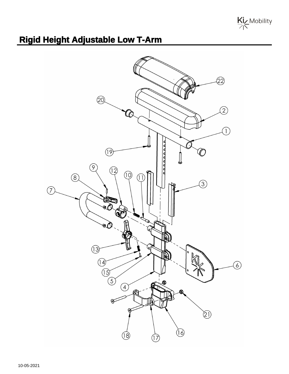Kiz Mobility

## **Rigid Height Adjustable Low T-Arm**

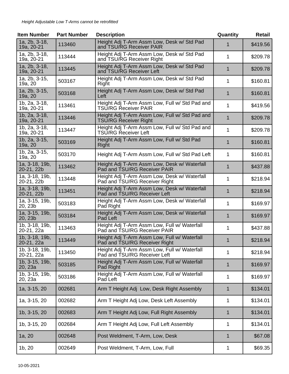| <b>Item Number</b>                      | <b>Part Number</b> | <b>Description</b>                                                            | Quantity    | <b>Retail</b> |
|-----------------------------------------|--------------------|-------------------------------------------------------------------------------|-------------|---------------|
| 1a, 2b, 3-18,<br>19a, 20-21             | 113460             | Height Adj T-Arm Assm Low, Desk w/ Std Pad<br>and TSU/RG Receiver PAIR        |             | \$419.56      |
| 1a, 2b, 3-18,<br>19a, 20-21             | 113444             | Height Adj T-Arm Assm Low, Desk w/ Std Pad<br>and TSU/RG Receiver Right       | 1           | \$209.78      |
| 1a, 2b, 3-18,<br>19a, 20-21             | 113445             | Height Adj T-Arm Assm Low, Desk w/ Std Pad<br>and TSU/RG Receiver Left        | 1           | \$209.78      |
| 1a, 2b, 3-15,<br>19a, 20                | 503167             | Height Adj T-Arm Assm Low, Desk w/ Std Pad<br>Right                           | 1           | \$160.81      |
| 1a, 2b, 3-15,<br>19a, 20                | 503168             | Height Adj T-Arm Assm Low, Desk w/ Std Pad<br>Left                            | 1           | \$160.81      |
| 1b, 2a, 3-18,<br>19a, 20-21             | 113461             | Height Adj T-Arm Assm Low, Full w/ Std Pad and<br><b>TSU/RG Receiver PAIR</b> | 1           | \$419.56      |
| 1b, 2a, 3-18,<br>19a, 20-21             | 113446             | Height Adj T-Arm Assm Low, Full w/ Std Pad and<br>TSU/RG Receiver Right       | 1           | \$209.78      |
| 1b, 2a, 3-18,<br>19a, 20-21             | 113447             | Height Adj T-Arm Assm Low, Full w/ Std Pad and<br><b>TSU/RG Receiver Left</b> | 1           | \$209.78      |
| 1b, 2a, 3-15,<br>19a, 20                | 503169             | Height Adj T-Arm Assm Low, Full w/ Std Pad<br>Right                           | $\mathbf 1$ | \$160.81      |
| 1b, 2a, 3-15,<br>19a, 20                | 503170             | Height Adj T-Arm Assm Low, Full w/ Std Pad Left                               | 1           | \$160.81      |
| 1a, 3-18, 19b,<br>20-21, 22b            | 113462             | Height Adj T-Arm Assm Low, Desk w/ Waterfall<br>Pad and TSU/RG Receiver PAIR  | 1           | \$437.88      |
| 1a, 3-18, 19b,<br>20-21, 22b            | 113448             | Height Adj T-Arm Assm Low, Desk w/ Waterfall<br>Pad and TSU/RG Receiver Right | 1           | \$218.94      |
| 1a, 3-18, 19b,<br>20-21, 22b            | 113451             | Height Adj T-Arm Assm Low, Desk w/ Waterfall<br>Pad and TSU/RG Receiver Left  | 1           | \$218.94      |
| 1a, 3-15, 19b,<br>20, 23b               | 503183             | Height Adj T-Arm Assm Low, Desk w/ Waterfall<br>Pad Right                     | 1           | \$169.97      |
| 1a, 3-15, 19b,<br>20, 23b               | 503184             | Height Adj T-Arm Assm Low, Desk w/ Waterfall<br>Pad Left                      | $\mathbf 1$ | \$169.97      |
| 1b, 3-18, 19b,<br>20-21, 22a            | 113463             | Height Adj T-Arm Assm Low, Full w/ Waterfall<br>Pad and TSU/RG Receiver PAIR  | 1           | \$437.88      |
| 1b, 3-18, 19b,<br>20-21, 22a            | 113449             | Height Adj T-Arm Assm Low, Full w/ Waterfall<br>Pad and TSU/RG Receiver Right | 1           | \$218.94      |
| 1b, 3-18, 19b,<br>20-21, 22a            | 113450             | Height Adj T-Arm Assm Low, Full w/ Waterfall<br>Pad and TSU/RG Receiver Left  | 1           | \$218.94      |
| 1b, 3-15, 19b,<br>20, 23a               | 503185             | Height Adj T-Arm Assm Low, Full w/ Waterfall<br>Pad Right                     | 1           | \$169.97      |
| $\overline{1b}$ , 3-15, 19b,<br>20, 23a | 503186             | Height Adj T-Arm Assm Low, Full w/ Waterfall<br>Pad Left                      | 1           | \$169.97      |
| 1a, 3-15, 20                            | 002681             | Arm T Height Adj Low, Desk Right Assembly                                     | 1           | \$134.01      |
| 1a, 3-15, 20                            | 002682             | Arm T Height Adj Low, Desk Left Assembly                                      | 1           | \$134.01      |
| 1b, 3-15, 20                            | 002683             | Arm T Height Adj Low, Full Right Assembly                                     | 1           | \$134.01      |
| 1b, 3-15, 20                            | 002684             | Arm T Height Adj Low, Full Left Assembly                                      | 1           | \$134.01      |
| 1a, 20                                  | 002648             | Post Weldment, T-Arm, Low, Desk                                               | 1           | \$67.08       |
| 1b, 20                                  | 002649             | Post Weldment, T-Arm, Low, Full                                               | 1           | \$69.35       |